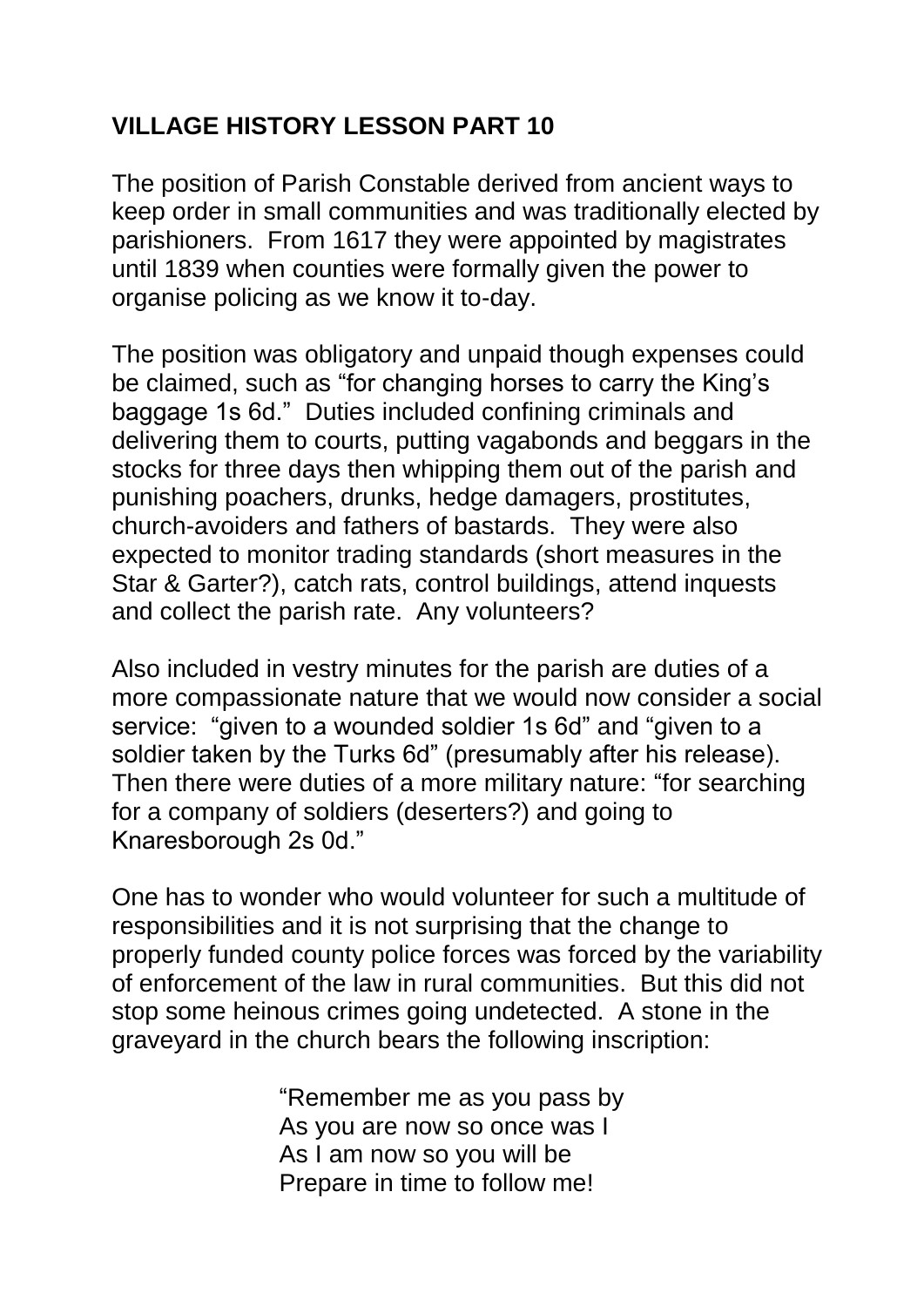## **VILLAGE HISTORY LESSON PART 10**

The position of Parish Constable derived from ancient ways to keep order in small communities and was traditionally elected by parishioners. From 1617 they were appointed by magistrates until 1839 when counties were formally given the power to organise policing as we know it to-day.

The position was obligatory and unpaid though expenses could be claimed, such as "for changing horses to carry the King's baggage 1s 6d." Duties included confining criminals and delivering them to courts, putting vagabonds and beggars in the stocks for three days then whipping them out of the parish and punishing poachers, drunks, hedge damagers, prostitutes, church-avoiders and fathers of bastards. They were also expected to monitor trading standards (short measures in the Star & Garter?), catch rats, control buildings, attend inquests and collect the parish rate. Any volunteers?

Also included in vestry minutes for the parish are duties of a more compassionate nature that we would now consider a social service: "given to a wounded soldier 1s 6d" and "given to a soldier taken by the Turks 6d" (presumably after his release). Then there were duties of a more military nature: "for searching for a company of soldiers (deserters?) and going to Knaresborough 2s 0d."

One has to wonder who would volunteer for such a multitude of responsibilities and it is not surprising that the change to properly funded county police forces was forced by the variability of enforcement of the law in rural communities. But this did not stop some heinous crimes going undetected. A stone in the graveyard in the church bears the following inscription:

> "Remember me as you pass by As you are now so once was I As I am now so you will be Prepare in time to follow me!